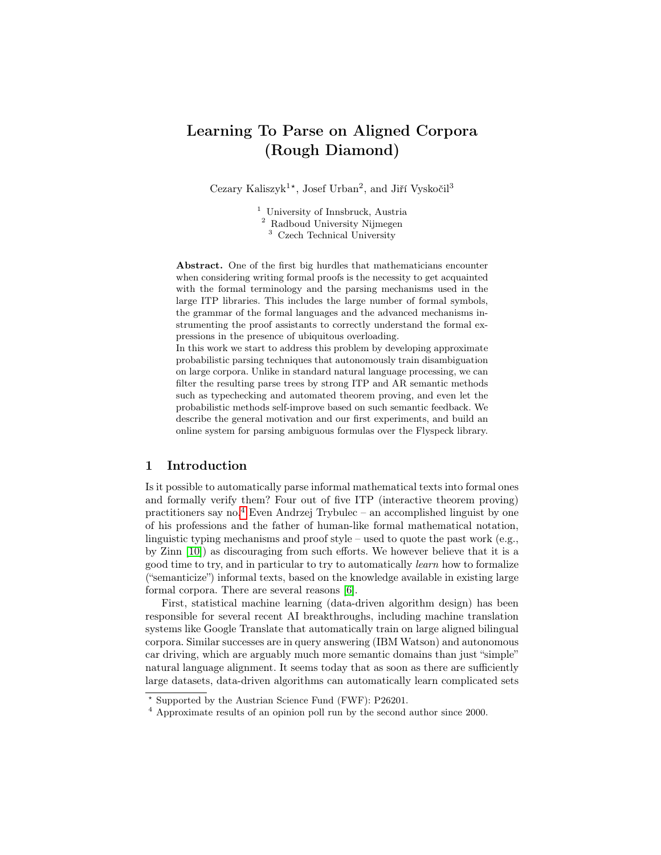# Learning To Parse on Aligned Corpora (Rough Diamond)

Cezary Kaliszyk<sup>1\*</sup>, Josef Urban<sup>2</sup>, and Jiří Vyskočil<sup>3</sup>

<sup>1</sup> University of Innsbruck, Austria <sup>2</sup> Radboud University Nijmegen <sup>3</sup> Czech Technical University

Abstract. One of the first big hurdles that mathematicians encounter when considering writing formal proofs is the necessity to get acquainted with the formal terminology and the parsing mechanisms used in the large ITP libraries. This includes the large number of formal symbols, the grammar of the formal languages and the advanced mechanisms instrumenting the proof assistants to correctly understand the formal expressions in the presence of ubiquitous overloading.

In this work we start to address this problem by developing approximate probabilistic parsing techniques that autonomously train disambiguation on large corpora. Unlike in standard natural language processing, we can filter the resulting parse trees by strong ITP and AR semantic methods such as typechecking and automated theorem proving, and even let the probabilistic methods self-improve based on such semantic feedback. We describe the general motivation and our first experiments, and build an online system for parsing ambiguous formulas over the Flyspeck library.

# 1 Introduction

Is it possible to automatically parse informal mathematical texts into formal ones and formally verify them? Four out of five ITP (interactive theorem proving) practitioners say no.<sup>[4](#page-0-0)</sup> Even Andrzej Trybulec – an accomplished linguist by one of his professions and the father of human-like formal mathematical notation, linguistic typing mechanisms and proof style – used to quote the past work (e.g., by Zinn [\[10\]](#page-6-0)) as discouraging from such efforts. We however believe that it is a good time to try, and in particular to try to automatically learn how to formalize ("semanticize") informal texts, based on the knowledge available in existing large formal corpora. There are several reasons [\[6\]](#page-6-1).

First, statistical machine learning (data-driven algorithm design) has been responsible for several recent AI breakthroughs, including machine translation systems like Google Translate that automatically train on large aligned bilingual corpora. Similar successes are in query answering (IBM Watson) and autonomous car driving, which are arguably much more semantic domains than just "simple" natural language alignment. It seems today that as soon as there are sufficiently large datasets, data-driven algorithms can automatically learn complicated sets

 $\star$  Supported by the Austrian Science Fund (FWF): P26201.

<span id="page-0-0"></span><sup>&</sup>lt;sup>4</sup> Approximate results of an opinion poll run by the second author since 2000.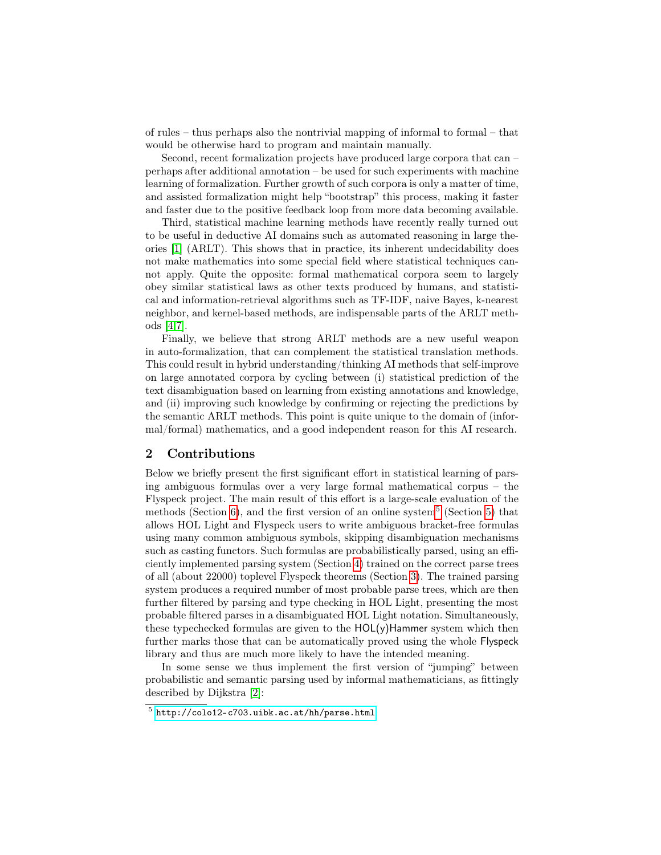of rules – thus perhaps also the nontrivial mapping of informal to formal – that would be otherwise hard to program and maintain manually.

Second, recent formalization projects have produced large corpora that can – perhaps after additional annotation – be used for such experiments with machine learning of formalization. Further growth of such corpora is only a matter of time, and assisted formalization might help "bootstrap" this process, making it faster and faster due to the positive feedback loop from more data becoming available.

Third, statistical machine learning methods have recently really turned out to be useful in deductive AI domains such as automated reasoning in large theories [\[1\]](#page-6-2) (ARLT). This shows that in practice, its inherent undecidability does not make mathematics into some special field where statistical techniques cannot apply. Quite the opposite: formal mathematical corpora seem to largely obey similar statistical laws as other texts produced by humans, and statistical and information-retrieval algorithms such as TF-IDF, naive Bayes, k-nearest neighbor, and kernel-based methods, are indispensable parts of the ARLT methods [\[4,](#page-6-3)[7\]](#page-6-4).

Finally, we believe that strong ARLT methods are a new useful weapon in auto-formalization, that can complement the statistical translation methods. This could result in hybrid understanding/thinking AI methods that self-improve on large annotated corpora by cycling between (i) statistical prediction of the text disambiguation based on learning from existing annotations and knowledge, and (ii) improving such knowledge by confirming or rejecting the predictions by the semantic ARLT methods. This point is quite unique to the domain of (informal/formal) mathematics, and a good independent reason for this AI research.

# 2 Contributions

Below we briefly present the first significant effort in statistical learning of parsing ambiguous formulas over a very large formal mathematical corpus – the Flyspeck project. The main result of this effort is a large-scale evaluation of the methods (Section [6\)](#page-4-0), and the first version of an online system<sup>[5](#page-1-0)</sup> (Section [5\)](#page-4-1) that allows HOL Light and Flyspeck users to write ambiguous bracket-free formulas using many common ambiguous symbols, skipping disambiguation mechanisms such as casting functors. Such formulas are probabilistically parsed, using an efficiently implemented parsing system (Section [4\)](#page-3-0) trained on the correct parse trees of all (about 22000) toplevel Flyspeck theorems (Section [3\)](#page-2-0). The trained parsing system produces a required number of most probable parse trees, which are then further filtered by parsing and type checking in HOL Light, presenting the most probable filtered parses in a disambiguated HOL Light notation. Simultaneously, these typechecked formulas are given to the HOL(y)Hammer system which then further marks those that can be automatically proved using the whole Flyspeck library and thus are much more likely to have the intended meaning.

In some sense we thus implement the first version of "jumping" between probabilistic and semantic parsing used by informal mathematicians, as fittingly described by Dijkstra [\[2\]](#page-6-5):

<span id="page-1-0"></span> $^5$  <http://colo12-c703.uibk.ac.at/hh/parse.html>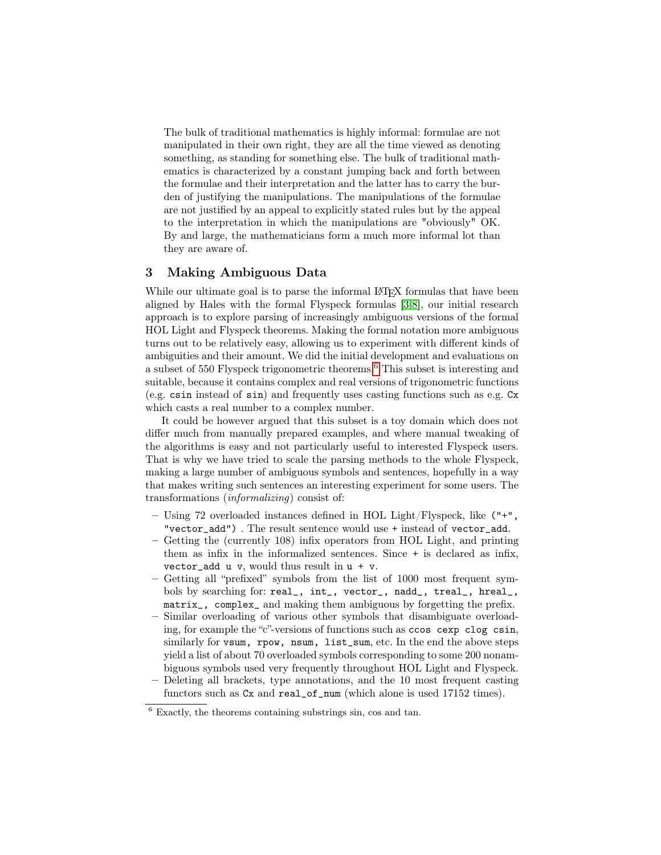The bulk of traditional mathematics is highly informal: formulae are not manipulated in their own right, they are all the time viewed as denoting something, as standing for something else. The bulk of traditional mathematics is characterized by a constant jumping back and forth between the formulae and their interpretation and the latter has to carry the burden of justifying the manipulations. The manipulations of the formulae are not justified by an appeal to explicitly stated rules but by the appeal to the interpretation in which the manipulations are "obviously" OK. By and large, the mathematicians form a much more informal lot than they are aware of.

# <span id="page-2-0"></span>3 Making Ambiguous Data

While our ultimate goal is to parse the informal LAT<sub>EX</sub> formulas that have been aligned by Hales with the formal Flyspeck formulas [\[3,](#page-6-6)[8\]](#page-6-7), our initial research approach is to explore parsing of increasingly ambiguous versions of the formal HOL Light and Flyspeck theorems. Making the formal notation more ambiguous turns out to be relatively easy, allowing us to experiment with different kinds of ambiguities and their amount. We did the initial development and evaluations on a subset of 550 Flyspeck trigonometric theorems.[6](#page-2-1) This subset is interesting and suitable, because it contains complex and real versions of trigonometric functions (e.g. csin instead of sin) and frequently uses casting functions such as e.g. Cx which casts a real number to a complex number.

It could be however argued that this subset is a toy domain which does not differ much from manually prepared examples, and where manual tweaking of the algorithms is easy and not particularly useful to interested Flyspeck users. That is why we have tried to scale the parsing methods to the whole Flyspeck, making a large number of ambiguous symbols and sentences, hopefully in a way that makes writing such sentences an interesting experiment for some users. The transformations (informalizing) consist of:

- Using 72 overloaded instances defined in HOL Light/Flyspeck, like ("+", "vector\_add") . The result sentence would use + instead of vector\_add.
- Getting the (currently 108) infix operators from HOL Light, and printing them as infix in the informalized sentences. Since + is declared as infix, vector\_add u v, would thus result in  $u + v$ .
- Getting all "prefixed" symbols from the list of 1000 most frequent symbols by searching for: real\_, int\_, vector\_, nadd\_, treal\_, hreal\_, matrix\_, complex\_ and making them ambiguous by forgetting the prefix.
- Similar overloading of various other symbols that disambiguate overloading, for example the "c"-versions of functions such as ccos cexp clog csin, similarly for vsum, rpow, nsum, list\_sum, etc. In the end the above steps yield a list of about 70 overloaded symbols corresponding to some 200 nonambiguous symbols used very frequently throughout HOL Light and Flyspeck.
- Deleting all brackets, type annotations, and the 10 most frequent casting functors such as  $Cx$  and real\_of\_num (which alone is used 17152 times).

<span id="page-2-1"></span> $6$  Exactly, the theorems containing substrings sin, cos and tan.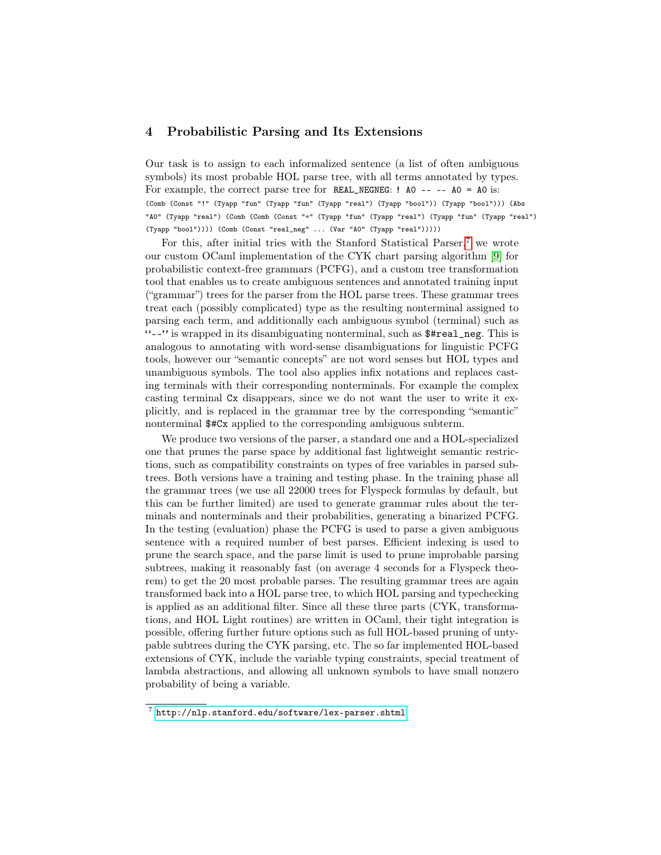### <span id="page-3-0"></span>4 Probabilistic Parsing and Its Extensions

Our task is to assign to each informalized sentence (a list of often ambiguous symbols) its most probable HOL parse tree, with all terms annotated by types. For example, the correct parse tree for REAL\_NEGNEG: ! A0 -- -- A0 = A0 is: (Comb (Const "!" (Tyapp "fun" (Tyapp "fun" (Tyapp "real") (Tyapp "bool")) (Tyapp "bool"))) (Abs "A0" (Tyapp "real") (Comb (Comb (Const "=" (Tyapp "fun" (Tyapp "real") (Tyapp "fun" (Tyapp "real") (Tyapp "bool")))) (Comb (Const "real\_neg" ... (Var "A0" (Tyapp "real")))))

For this, after initial tries with the Stanford Statistical Parser,<sup>[7](#page-3-1)</sup> we wrote our custom OCaml implementation of the CYK chart parsing algorithm [\[9\]](#page-6-8) for probabilistic context-free grammars (PCFG), and a custom tree transformation tool that enables us to create ambiguous sentences and annotated training input ("grammar") trees for the parser from the HOL parse trees. These grammar trees treat each (possibly complicated) type as the resulting nonterminal assigned to parsing each term, and additionally each ambiguous symbol (terminal) such as "--" is wrapped in its disambiguating nonterminal, such as \$#real\_neg. This is analogous to annotating with word-sense disambiguations for linguistic PCFG tools, however our "semantic concepts" are not word senses but HOL types and unambiguous symbols. The tool also applies infix notations and replaces casting terminals with their corresponding nonterminals. For example the complex casting terminal Cx disappears, since we do not want the user to write it explicitly, and is replaced in the grammar tree by the corresponding "semantic" nonterminal \$#Cx applied to the corresponding ambiguous subterm.

We produce two versions of the parser, a standard one and a HOL-specialized one that prunes the parse space by additional fast lightweight semantic restrictions, such as compatibility constraints on types of free variables in parsed subtrees. Both versions have a training and testing phase. In the training phase all the grammar trees (we use all 22000 trees for Flyspeck formulas by default, but this can be further limited) are used to generate grammar rules about the terminals and nonterminals and their probabilities, generating a binarized PCFG. In the testing (evaluation) phase the PCFG is used to parse a given ambiguous sentence with a required number of best parses. Efficient indexing is used to prune the search space, and the parse limit is used to prune improbable parsing subtrees, making it reasonably fast (on average 4 seconds for a Flyspeck theorem) to get the 20 most probable parses. The resulting grammar trees are again transformed back into a HOL parse tree, to which HOL parsing and typechecking is applied as an additional filter. Since all these three parts (CYK, transformations, and HOL Light routines) are written in OCaml, their tight integration is possible, offering further future options such as full HOL-based pruning of untypable subtrees during the CYK parsing, etc. The so far implemented HOL-based extensions of CYK, include the variable typing constraints, special treatment of lambda abstractions, and allowing all unknown symbols to have small nonzero probability of being a variable.

<span id="page-3-1"></span> $\frac{7}{7}$  <http://nlp.stanford.edu/software/lex-parser.shtml>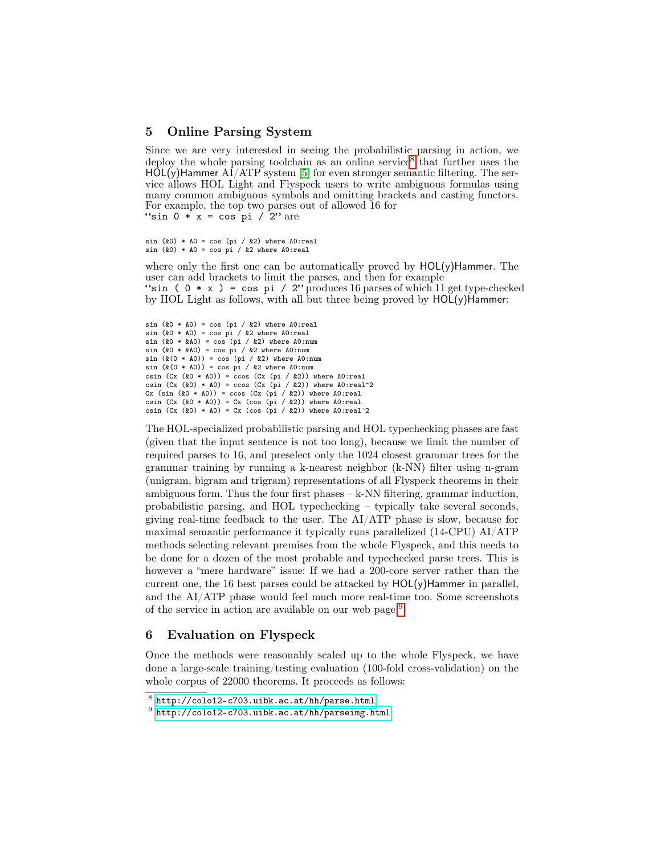#### <span id="page-4-1"></span>5 Online Parsing System

Since we are very interested in seeing the probabilistic parsing in action, we deploy the whole parsing toolchain as an online service<sup>[8](#page-4-2)</sup> that further uses the  $HOL(y)$ Hammer  $AI/ATP$  system [\[5\]](#page-6-9) for even stronger semantic filtering. The service allows HOL Light and Flyspeck users to write ambiguous formulas using many common ambiguous symbols and omitting brackets and casting functors. For example, the top two parses out of allowed 16 for "sin  $0 * x = \cos pi / 2"$  are

sin (&0) \* A0 = cos (pi / &2) where A0:real sin (&0) \* A0 = cos pi / &2 where A0:real

where only the first one can be automatically proved by  $HOL(y)$ Hammer. The user can add brackets to limit the parses, and then for example "sin (  $0 * x$  ) = cos pi / 2" produces 16 parses of which 11 get type-checked by HOL Light as follows, with all but three being proved by  $HOL(y)$ Hammer:

```
sin (k0 * A0) = cos (pi / k2) where A0:realsin (k0 * A0) = \cos \pi i / k2 where A0:realsin (k0 * kA0) = cos(pi / k2) where A0:numsin (k0 * kA0) = \cos \pi i / k2 where A0:numsin (k(0 * A0)) = \cos(pi / k2) where A0:num
sin (k(0 * A0)) = \cos \pi i / k2 where A0:num
csin (Cx \ (&0 * A0)) = ccos (Cx (pi / &2)) where A0:real
csin (Cx (k0) * A0) = ccos (Cx (pi / k2)) where A0:real^2Cx (sin (k0 * A0)) = ccos (Cx (pi / k2)) where A0:real
csin (Cx (\&0 * A0)) = Cx (cos (pi / k2)) where A0:real
csin (Cx (k0) * A0) = Cx (cos (pi / &2)) where A0:real^2
```
The HOL-specialized probabilistic parsing and HOL typechecking phases are fast (given that the input sentence is not too long), because we limit the number of required parses to 16, and preselect only the 1024 closest grammar trees for the grammar training by running a k-nearest neighbor (k-NN) filter using n-gram (unigram, bigram and trigram) representations of all Flyspeck theorems in their ambiguous form. Thus the four first phases – k-NN filtering, grammar induction, probabilistic parsing, and HOL typechecking – typically take several seconds, giving real-time feedback to the user. The AI/ATP phase is slow, because for maximal semantic performance it typically runs parallelized (14-CPU) AI/ATP methods selecting relevant premises from the whole Flyspeck, and this needs to be done for a dozen of the most probable and typechecked parse trees. This is however a "mere hardware" issue: If we had a 200-core server rather than the current one, the 16 best parses could be attacked by  $HOL(v)$ Hammer in parallel, and the AI/ATP phase would feel much more real-time too. Some screenshots of the service in action are available on our web page.<sup>[9](#page-4-3)</sup>

#### <span id="page-4-0"></span>6 Evaluation on Flyspeck

Once the methods were reasonably scaled up to the whole Flyspeck, we have done a large-scale training/testing evaluation (100-fold cross-validation) on the whole corpus of 22000 theorems. It proceeds as follows:

<span id="page-4-2"></span> $^8$  <http://colo12-c703.uibk.ac.at/hh/parse.html>

<span id="page-4-3"></span> $^9$  <http://colo12-c703.uibk.ac.at/hh/parseimg.html>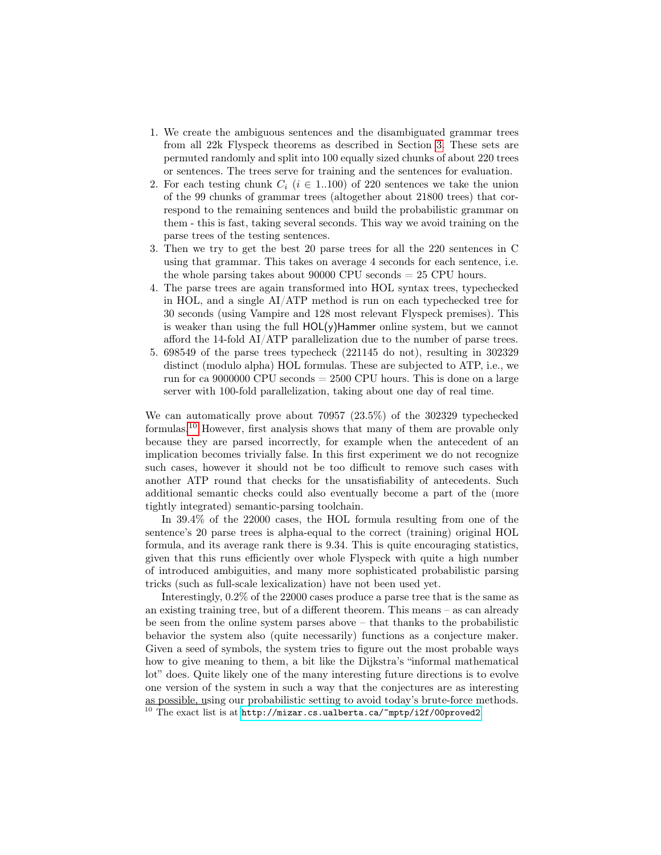- 1. We create the ambiguous sentences and the disambiguated grammar trees from all 22k Flyspeck theorems as described in Section [3.](#page-2-0) These sets are permuted randomly and split into 100 equally sized chunks of about 220 trees or sentences. The trees serve for training and the sentences for evaluation.
- 2. For each testing chunk  $C_i$  ( $i \in 1..100$ ) of 220 sentences we take the union of the 99 chunks of grammar trees (altogether about 21800 trees) that correspond to the remaining sentences and build the probabilistic grammar on them - this is fast, taking several seconds. This way we avoid training on the parse trees of the testing sentences.
- 3. Then we try to get the best 20 parse trees for all the 220 sentences in C using that grammar. This takes on average 4 seconds for each sentence, i.e. the whole parsing takes about  $90000$  CPU seconds  $= 25$  CPU hours.
- 4. The parse trees are again transformed into HOL syntax trees, typechecked in HOL, and a single AI/ATP method is run on each typechecked tree for 30 seconds (using Vampire and 128 most relevant Flyspeck premises). This is weaker than using the full HOL(y)Hammer online system, but we cannot afford the 14-fold AI/ATP parallelization due to the number of parse trees.
- 5. 698549 of the parse trees typecheck (221145 do not), resulting in 302329 distinct (modulo alpha) HOL formulas. These are subjected to ATP, i.e., we run for ca 9000000 CPU seconds = 2500 CPU hours. This is done on a large server with 100-fold parallelization, taking about one day of real time.

We can automatically prove about 70957 (23.5%) of the 302329 typechecked formulas.[10](#page-5-0) However, first analysis shows that many of them are provable only because they are parsed incorrectly, for example when the antecedent of an implication becomes trivially false. In this first experiment we do not recognize such cases, however it should not be too difficult to remove such cases with another ATP round that checks for the unsatisfiability of antecedents. Such additional semantic checks could also eventually become a part of the (more tightly integrated) semantic-parsing toolchain.

In 39.4% of the 22000 cases, the HOL formula resulting from one of the sentence's 20 parse trees is alpha-equal to the correct (training) original HOL formula, and its average rank there is 9.34. This is quite encouraging statistics, given that this runs efficiently over whole Flyspeck with quite a high number of introduced ambiguities, and many more sophisticated probabilistic parsing tricks (such as full-scale lexicalization) have not been used yet.

<span id="page-5-0"></span>Interestingly, 0.2% of the 22000 cases produce a parse tree that is the same as an existing training tree, but of a different theorem. This means – as can already be seen from the online system parses above – that thanks to the probabilistic behavior the system also (quite necessarily) functions as a conjecture maker. Given a seed of symbols, the system tries to figure out the most probable ways how to give meaning to them, a bit like the Dijkstra's "informal mathematical lot" does. Quite likely one of the many interesting future directions is to evolve one version of the system in such a way that the conjectures are as interesting as possible, using our probabilistic setting to avoid today's brute-force methods.  $\overline{10}$  The exact list is at <http://mizar.cs.ualberta.ca/~mptp/i2f/00proved2>.